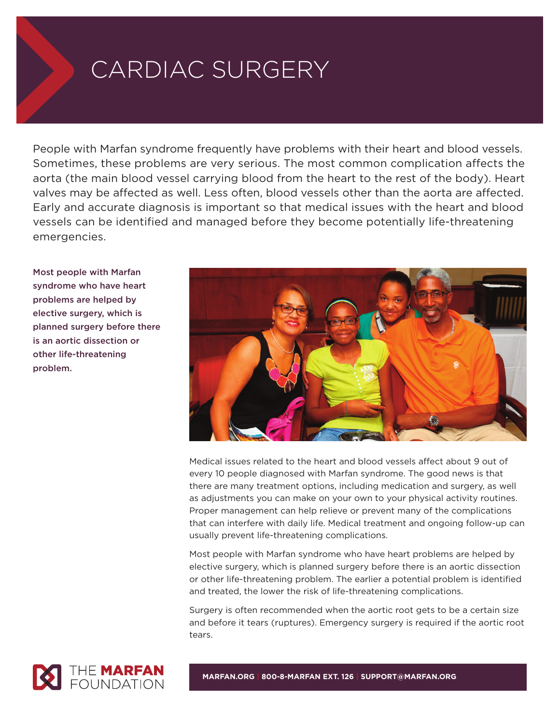# CARDIAC SURGERY

People with Marfan syndrome frequently have problems with their heart and blood vessels. Sometimes, these problems are very serious. The most common complication affects the aorta (the main blood vessel carrying blood from the heart to the rest of the body). Heart valves may be affected as well. Less often, blood vessels other than the aorta are affected. Early and accurate diagnosis is important so that medical issues with the heart and blood vessels can be identified and managed before they become potentially life-threatening emergencies.

**Most people with Marfan syndrome who have heart problems are helped by elective surgery, which is planned surgery before there is an aortic dissection or other life-threatening problem.**



Medical issues related to the heart and blood vessels affect about 9 out of every 10 people diagnosed with Marfan syndrome. The good news is that there are many treatment options, including medication and surgery, as well as adjustments you can make on your own to your physical activity routines. Proper management can help relieve or prevent many of the complications that can interfere with daily life. Medical treatment and ongoing follow-up can usually prevent life-threatening complications.

Most people with Marfan syndrome who have heart problems are helped by elective surgery, which is planned surgery before there is an aortic dissection or other life-threatening problem. The earlier a potential problem is identified and treated, the lower the risk of life-threatening complications.

Surgery is often recommended when the aortic root gets to be a certain size and before it tears (ruptures). Emergency surgery is required if the aortic root tears.



**MARFAN.ORG | 800-8-MARFAN EXT. 126 | SUPPORT@MARFAN.ORG**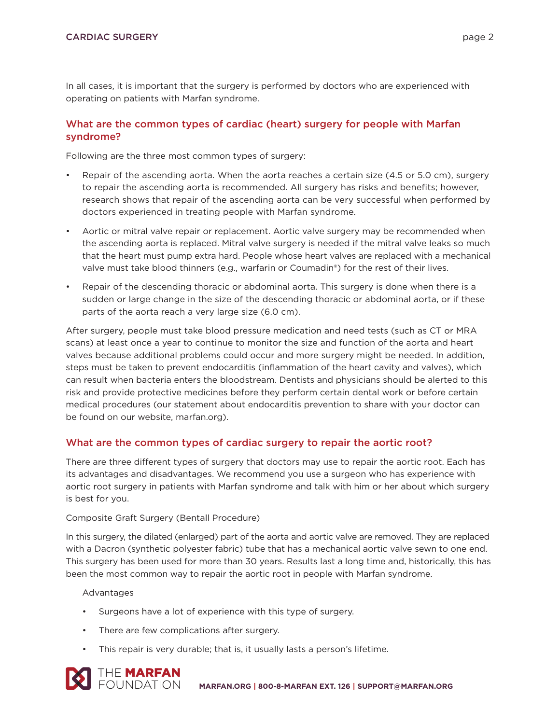In all cases, it is important that the surgery is performed by doctors who are experienced with operating on patients with Marfan syndrome.

# **What are the common types of cardiac (heart) surgery for people with Marfan syndrome?**

Following are the three most common types of surgery:

- Repair of the ascending aorta. When the aorta reaches a certain size (4.5 or 5.0 cm), surgery to repair the ascending aorta is recommended. All surgery has risks and benefits; however, research shows that repair of the ascending aorta can be very successful when performed by doctors experienced in treating people with Marfan syndrome.
- Aortic or mitral valve repair or replacement. Aortic valve surgery may be recommended when the ascending aorta is replaced. Mitral valve surgery is needed if the mitral valve leaks so much that the heart must pump extra hard. People whose heart valves are replaced with a mechanical valve must take blood thinners (e.g., warfarin or Coumadin®) for the rest of their lives.
- Repair of the descending thoracic or abdominal aorta. This surgery is done when there is a sudden or large change in the size of the descending thoracic or abdominal aorta, or if these parts of the aorta reach a very large size (6.0 cm).

After surgery, people must take blood pressure medication and need tests (such as CT or MRA scans) at least once a year to continue to monitor the size and function of the aorta and heart valves because additional problems could occur and more surgery might be needed. In addition, steps must be taken to prevent endocarditis (inflammation of the heart cavity and valves), which can result when bacteria enters the bloodstream. Dentists and physicians should be alerted to this risk and provide protective medicines before they perform certain dental work or before certain medical procedures (our statement about endocarditis prevention to share with your doctor can be found on our website, marfan.org).

# **What are the common types of cardiac surgery to repair the aortic root?**

There are three different types of surgery that doctors may use to repair the aortic root. Each has its advantages and disadvantages. We recommend you use a surgeon who has experience with aortic root surgery in patients with Marfan syndrome and talk with him or her about which surgery is best for you.

## Composite Graft Surgery (Bentall Procedure)

In this surgery, the dilated (enlarged) part of the aorta and aortic valve are removed. They are replaced with a Dacron (synthetic polyester fabric) tube that has a mechanical aortic valve sewn to one end. This surgery has been used for more than 30 years. Results last a long time and, historically, this has been the most common way to repair the aortic root in people with Marfan syndrome.

Advantages

- Surgeons have a lot of experience with this type of surgery.
- There are few complications after surgery.
- This repair is very durable; that is, it usually lasts a person's lifetime.

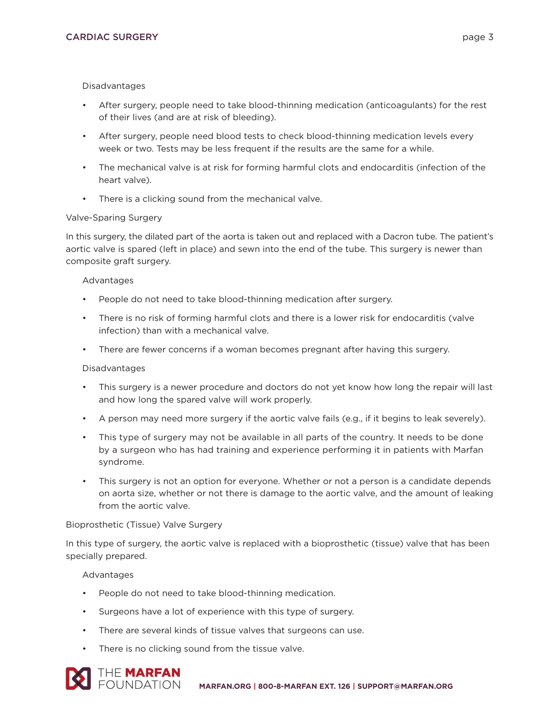### Disadvantages

- After surgery, people need to take blood-thinning medication (anticoagulants) for the rest of their lives (and are at risk of bleeding).
- After surgery, people need blood tests to check blood-thinning medication levels every week or two. Tests may be less frequent if the results are the same for a while.
- The mechanical valve is at risk for forming harmful clots and endocarditis (infection of the heart valve).
- There is a clicking sound from the mechanical valve.

## Valve-Sparing Surgery

In this surgery, the dilated part of the aorta is taken out and replaced with a Dacron tube. The patient's aortic valve is spared (left in place) and sewn into the end of the tube. This surgery is newer than composite graft surgery.

## **Advantages**

- People do not need to take blood-thinning medication after surgery.
- There is no risk of forming harmful clots and there is a lower risk for endocarditis (valve infection) than with a mechanical valve.
- There are fewer concerns if a woman becomes pregnant after having this surgery.

### Disadvantages

- This surgery is a newer procedure and doctors do not yet know how long the repair will last and how long the spared valve will work properly.
- A person may need more surgery if the aortic valve fails (e.g., if it begins to leak severely).
- This type of surgery may not be available in all parts of the country. It needs to be done by a surgeon who has had training and experience performing it in patients with Marfan syndrome.
- This surgery is not an option for everyone. Whether or not a person is a candidate depends on aorta size, whether or not there is damage to the aortic valve, and the amount of leaking from the aortic valve.

### Bioprosthetic (Tissue) Valve Surgery

In this type of surgery, the aortic valve is replaced with a bioprosthetic (tissue) valve that has been specially prepared.

### Advantages

- People do not need to take blood-thinning medication.
- Surgeons have a lot of experience with this type of surgery.
- There are several kinds of tissue valves that surgeons can use.
- There is no clicking sound from the tissue valve.

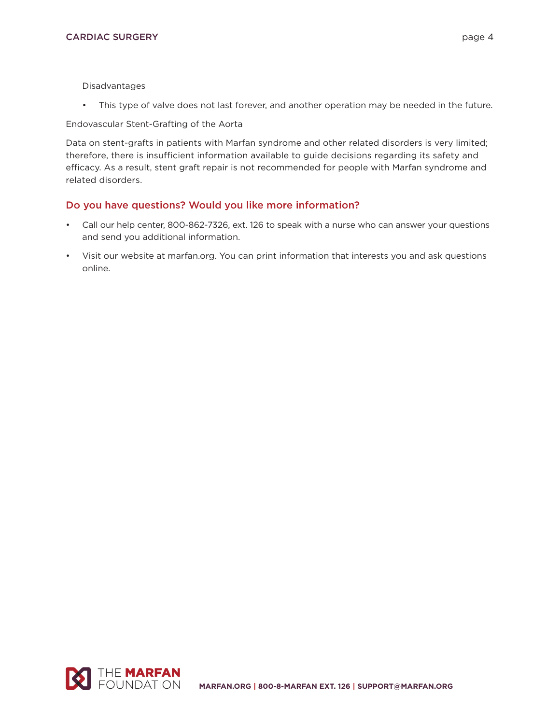Disadvantages

• This type of valve does not last forever, and another operation may be needed in the future.

Endovascular Stent-Grafting of the Aorta

Data on stent-grafts in patients with Marfan syndrome and other related disorders is very limited; therefore, there is insufficient information available to guide decisions regarding its safety and efficacy. As a result, stent graft repair is not recommended for people with Marfan syndrome and related disorders.

# **Do you have questions? Would you like more information?**

- Call our help center, 800-862-7326, ext. 126 to speak with a nurse who can answer your questions and send you additional information.
- Visit our website at marfan.org. You can print information that interests you and ask questions online.